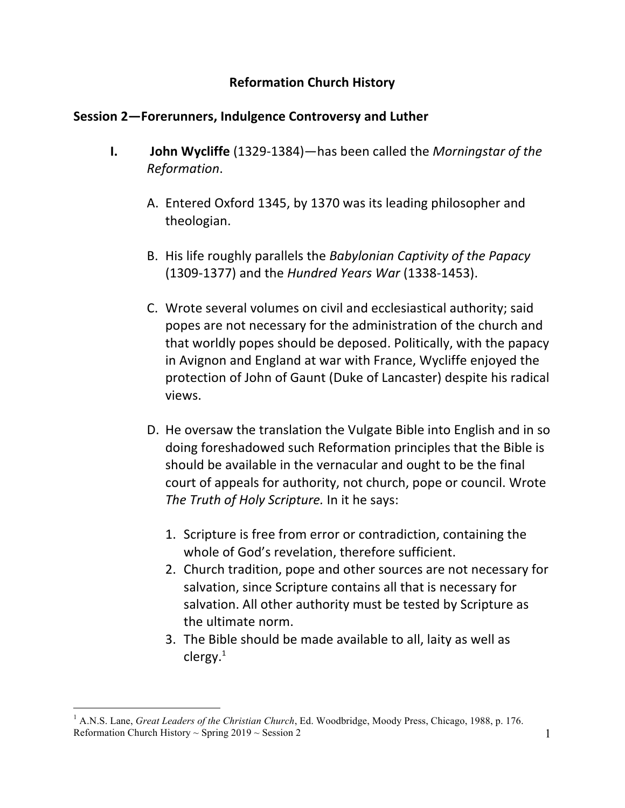## **Reformation Church History**

## **Session 2—Forerunners, Indulgence Controversy and Luther**

- **I. John Wycliffe** (1329-1384)—has been called the *Morningstar of the Reformation*.
	- A. Entered Oxford 1345, by 1370 was its leading philosopher and theologian.
	- B. His life roughly parallels the *Babylonian Captivity of the Papacy* (1309-1377) and the *Hundred Years War* (1338-1453).
	- C. Wrote several volumes on civil and ecclesiastical authority; said popes are not necessary for the administration of the church and that worldly popes should be deposed. Politically, with the papacy in Avignon and England at war with France, Wycliffe enjoyed the protection of John of Gaunt (Duke of Lancaster) despite his radical views.
	- D. He oversaw the translation the Vulgate Bible into English and in so doing foreshadowed such Reformation principles that the Bible is should be available in the vernacular and ought to be the final court of appeals for authority, not church, pope or council. Wrote The Truth of Holy Scripture. In it he says:
		- 1. Scripture is free from error or contradiction, containing the whole of God's revelation, therefore sufficient.
		- 2. Church tradition, pope and other sources are not necessary for salvation, since Scripture contains all that is necessary for salvation. All other authority must be tested by Scripture as the ultimate norm.
		- 3. The Bible should be made available to all, laity as well as clergy. $1$

Reformation Church History  $\sim$  Spring 2019  $\sim$  Session 2 1  $\overline{a}$ <sup>1</sup> A.N.S. Lane, *Great Leaders of the Christian Church*, Ed. Woodbridge, Moody Press, Chicago, 1988, p. 176.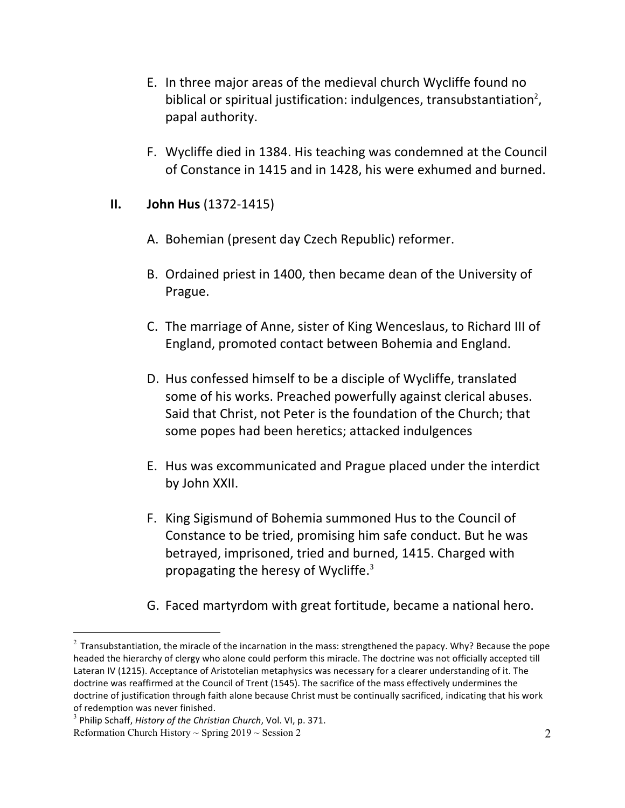- E. In three major areas of the medieval church Wycliffe found no biblical or spiritual justification: indulgences, transubstantiation<sup>2</sup>, papal authority.
- F. Wycliffe died in 1384. His teaching was condemned at the Council of Constance in 1415 and in 1428, his were exhumed and burned.

#### **II. John Hus** (1372-1415)

- A. Bohemian (present day Czech Republic) reformer.
- B. Ordained priest in 1400, then became dean of the University of Prague.
- C. The marriage of Anne, sister of King Wenceslaus, to Richard III of England, promoted contact between Bohemia and England.
- D. Hus confessed himself to be a disciple of Wycliffe, translated some of his works. Preached powerfully against clerical abuses. Said that Christ, not Peter is the foundation of the Church; that some popes had been heretics; attacked indulgences
- E. Hus was excommunicated and Prague placed under the interdict by John XXII.
- F. King Sigismund of Bohemia summoned Hus to the Council of Constance to be tried, promising him safe conduct. But he was betrayed, imprisoned, tried and burned, 1415. Charged with propagating the heresy of Wycliffe. $3$
- G. Faced martyrdom with great fortitude, became a national hero.

 $\overline{a}$ 

<sup>&</sup>lt;sup>2</sup> Transubstantiation, the miracle of the incarnation in the mass: strengthened the papacy. Why? Because the pope headed the hierarchy of clergy who alone could perform this miracle. The doctrine was not officially accepted till Lateran IV (1215). Acceptance of Aristotelian metaphysics was necessary for a clearer understanding of it. The doctrine was reaffirmed at the Council of Trent (1545). The sacrifice of the mass effectively undermines the doctrine of justification through faith alone because Christ must be continually sacrificed, indicating that his work of redemption was never finished.

Reformation Church History  $\sim$  Spring 2019  $\sim$  Session 2 2 <sup>3</sup> Philip Schaff, *History of the Christian Church*, Vol. VI, p. 371.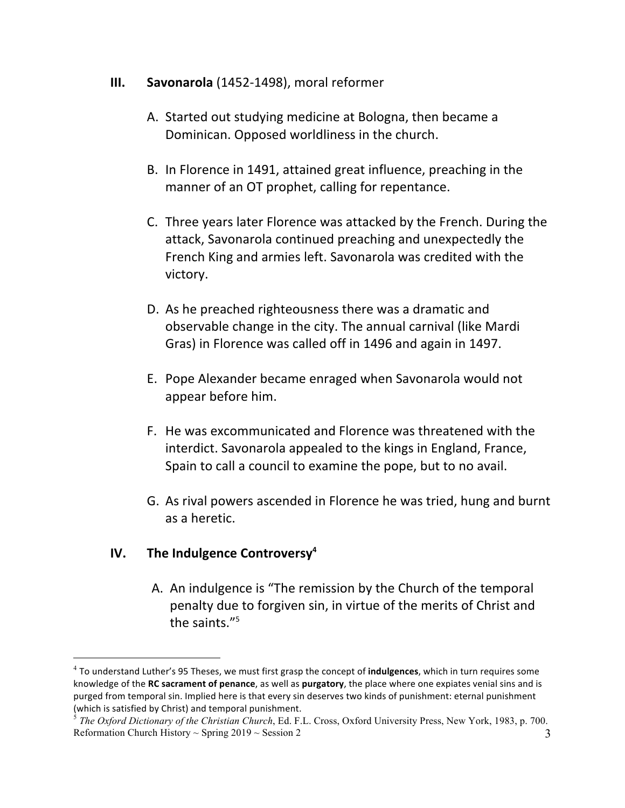#### **III.** Savonarola (1452-1498), moral reformer

- A. Started out studying medicine at Bologna, then became a Dominican. Opposed worldliness in the church.
- B. In Florence in 1491, attained great influence, preaching in the manner of an OT prophet, calling for repentance.
- C. Three years later Florence was attacked by the French. During the attack, Savonarola continued preaching and unexpectedly the French King and armies left. Savonarola was credited with the victory.
- D. As he preached righteousness there was a dramatic and observable change in the city. The annual carnival (like Mardi) Gras) in Florence was called off in 1496 and again in 1497.
- E. Pope Alexander became enraged when Savonarola would not appear before him.
- F. He was excommunicated and Florence was threatened with the interdict. Savonarola appealed to the kings in England, France, Spain to call a council to examine the pope, but to no avail.
- G. As rival powers ascended in Florence he was tried, hung and burnt as a heretic.

# **IV. The Indulgence Controversy4**

 $\overline{a}$ 

A. An indulgence is "The remission by the Church of the temporal penalty due to forgiven sin, in virtue of the merits of Christ and the saints. $15$ 

<sup>&</sup>lt;sup>4</sup> To understand Luther's 95 Theses, we must first grasp the concept of *indulgences*, which in turn requires some knowledge of the RC sacrament of penance, as well as purgatory, the place where one expiates venial sins and is purged from temporal sin. Implied here is that every sin deserves two kinds of punishment: eternal punishment (which is satisfied by Christ) and temporal punishment.

Reformation Church History  $\sim$  Spring 2019  $\sim$  Session 2 3 <sup>5</sup> *The Oxford Dictionary of the Christian Church*, Ed. F.L. Cross, Oxford University Press, New York, 1983, p. 700.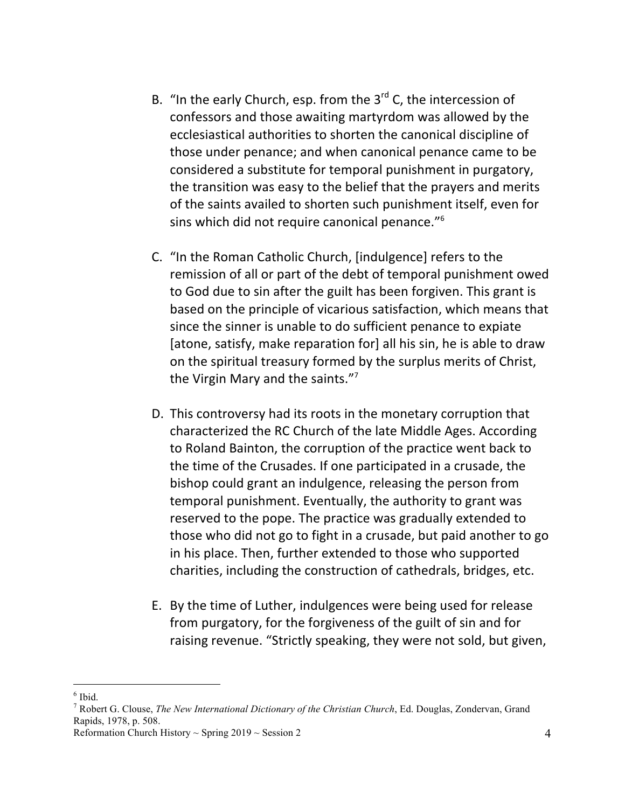- B. "In the early Church, esp. from the  $3<sup>rd</sup>$  C, the intercession of confessors and those awaiting martyrdom was allowed by the ecclesiastical authorities to shorten the canonical discipline of those under penance; and when canonical penance came to be considered a substitute for temporal punishment in purgatory, the transition was easy to the belief that the prayers and merits of the saints availed to shorten such punishment itself, even for sins which did not require canonical penance."<sup>6</sup>
- C. "In the Roman Catholic Church, [indulgence] refers to the remission of all or part of the debt of temporal punishment owed to God due to sin after the guilt has been forgiven. This grant is based on the principle of vicarious satisfaction, which means that since the sinner is unable to do sufficient penance to expiate [atone, satisfy, make reparation for] all his sin, he is able to draw on the spiritual treasury formed by the surplus merits of Christ, the Virgin Mary and the saints." $7$
- D. This controversy had its roots in the monetary corruption that characterized the RC Church of the late Middle Ages. According to Roland Bainton, the corruption of the practice went back to the time of the Crusades. If one participated in a crusade, the bishop could grant an indulgence, releasing the person from temporal punishment. Eventually, the authority to grant was reserved to the pope. The practice was gradually extended to those who did not go to fight in a crusade, but paid another to go in his place. Then, further extended to those who supported charities, including the construction of cathedrals, bridges, etc.
- E. By the time of Luther, indulgences were being used for release from purgatory, for the forgiveness of the guilt of sin and for raising revenue. "Strictly speaking, they were not sold, but given,

 $\overline{a}$  $<sup>6</sup>$  Ibid.</sup>

<sup>7</sup> Robert G. Clouse, *The New International Dictionary of the Christian Church*, Ed. Douglas, Zondervan, Grand Rapids, 1978, p. 508.

Reformation Church History  $\sim$  Spring 2019  $\sim$  Session 2 4 4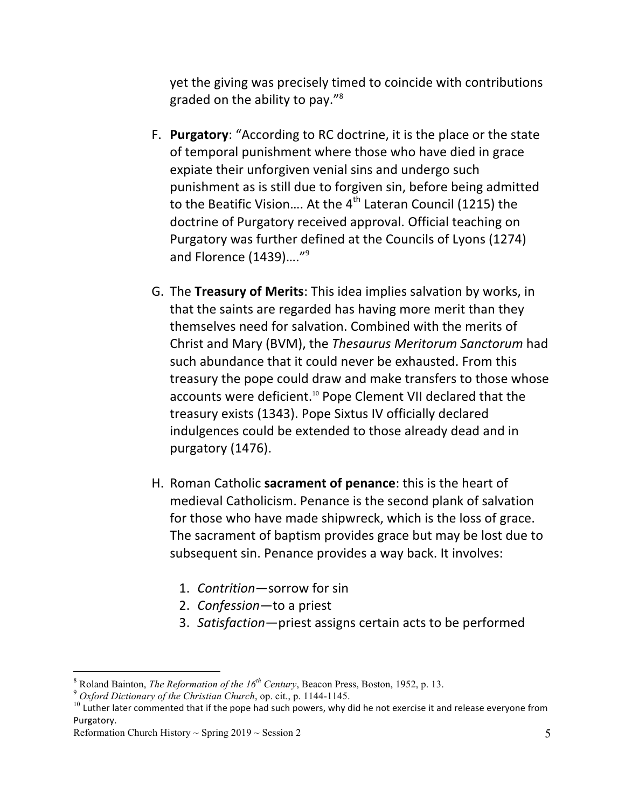yet the giving was precisely timed to coincide with contributions graded on the ability to pay."<sup>8</sup>

- F. Purgatory: "According to RC doctrine, it is the place or the state of temporal punishment where those who have died in grace expiate their unforgiven venial sins and undergo such punishment as is still due to forgiven sin, before being admitted to the Beatific Vision.... At the  $4^{th}$  Lateran Council (1215) the doctrine of Purgatory received approval. Official teaching on Purgatory was further defined at the Councils of Lyons (1274) and Florence  $(1439)...''<sup>9</sup>$
- G. The **Treasury of Merits**: This idea implies salvation by works, in that the saints are regarded has having more merit than they themselves need for salvation. Combined with the merits of Christ and Mary (BVM), the *Thesaurus Meritorum Sanctorum* had such abundance that it could never be exhausted. From this treasury the pope could draw and make transfers to those whose accounts were deficient.<sup>10</sup> Pope Clement VII declared that the treasury exists (1343). Pope Sixtus IV officially declared indulgences could be extended to those already dead and in purgatory (1476).
- H. Roman Catholic **sacrament of penance**: this is the heart of medieval Catholicism. Penance is the second plank of salvation for those who have made shipwreck, which is the loss of grace. The sacrament of baptism provides grace but may be lost due to subsequent sin. Penance provides a way back. It involves:
	- 1. *Contrition*—sorrow for sin
	- 2. *Confession*—to a priest
	- 3. Satisfaction-priest assigns certain acts to be performed

 $\overline{a}$ 

<sup>8</sup> Roland Bainton, *The Reformation of the 16th Century*, Beacon Press, Boston, 1952, p. 13. <sup>9</sup> *Oxford Dictionary of the Christian Church*, op. cit., p. 1144-1145.

 $10$  Luther later commented that if the pope had such powers, why did he not exercise it and release everyone from Purgatory.

Reformation Church History  $\sim$  Spring 2019  $\sim$  Session 2 5